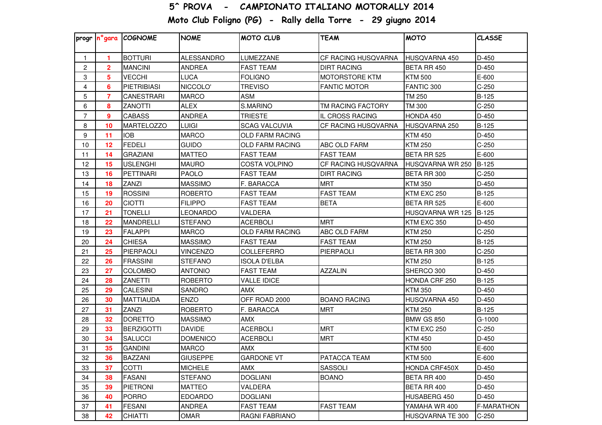## 5^ PROVA - CAMPIONATO ITALIANO MOTORALLY 2014

Moto Club Foligno (PG) - Rally della Torre - 29 giugno 2014

|                 |                | progr n°gara COGNOME | <b>NOME</b>       | <b>MOTO CLUB</b>       | <b>TEAM</b>         | <b>MOTO</b>       | <b>CLASSE</b> |
|-----------------|----------------|----------------------|-------------------|------------------------|---------------------|-------------------|---------------|
| $\mathbf{1}$    | 1              | <b>BOTTURI</b>       | <b>ALESSANDRO</b> | LUMEZZANE              | CF RACING HUSQVARNA | HUSQVARNA 450     | $D-450$       |
| 2               | $\mathbf{2}$   | <b>MANCINI</b>       | <b>ANDREA</b>     | <b>FAST TEAM</b>       | <b>DIRT RACING</b>  | BETA RR 450       | D-450         |
| 3               | 5              | <b>VECCHI</b>        | LUCA              | <b>FOLIGNO</b>         | MOTORSTORE KTM      | <b>KTM 500</b>    | E-600         |
| 4               | 6              | <b>PIETRIBIASI</b>   | NICCOLO'          | <b>TREVISO</b>         | <b>FANTIC MOTOR</b> | FANTIC 300        | $C-250$       |
| 5               | $\overline{7}$ | <b>CANESTRARI</b>    | <b>MARCO</b>      | <b>ASM</b>             |                     | <b>TM 250</b>     | $B-125$       |
| 6               | 8              | <b>ZANOTTI</b>       | ALEX              | S.MARINO               | TM RACING FACTORY   | <b>TM 300</b>     | $C-250$       |
| $\overline{7}$  | 9              | <b>CABASS</b>        | <b>ANDREA</b>     | <b>TRIESTE</b>         | IL CROSS RACING     | HONDA 450         | D-450         |
| 8               | 10             | <b>MARTELOZZO</b>    | LUIGI             | <b>SCAG VALCUVIA</b>   | CF RACING HUSQVARNA | HUSQVARNA 250     | $B-125$       |
| 9               | 11             | <b>IOB</b>           | <b>MARCO</b>      | <b>OLD FARM RACING</b> |                     | <b>KTM 450</b>    | D-450         |
| 10 <sup>°</sup> | 12             | <b>FEDELI</b>        | <b>GUIDO</b>      | OLD FARM RACING        | ABC OLD FARM        | <b>KTM 250</b>    | $C-250$       |
| 11              | 14             | <b>GRAZIANI</b>      | <b>MATTEO</b>     | <b>FAST TEAM</b>       | <b>FAST TEAM</b>    | BETA RR 525       | E-600         |
| 12              | 15             | <b>USLENGHI</b>      | <b>MAURO</b>      | <b>COSTA VOLPINO</b>   | CF RACING HUSQVARNA | HUSQVARNA WR 250  | B-125         |
| 13              | 16             | PETTINARI            | <b>PAOLO</b>      | <b>FAST TEAM</b>       | <b>DIRT RACING</b>  | BETA RR 300       | $C-250$       |
| 14              | 18             | ZANZI                | <b>MASSIMO</b>    | F. BARACCA             | <b>MRT</b>          | <b>KTM 350</b>    | D-450         |
| 15              | 19             | <b>ROSSINI</b>       | <b>ROBERTO</b>    | <b>FAST TEAM</b>       | <b>FAST TEAM</b>    | KTM EXC 250       | $B-125$       |
| 16              | 20             | <b>CIOTTI</b>        | <b>FILIPPO</b>    | <b>FAST TEAM</b>       | <b>BETA</b>         | BETA RR 525       | E-600         |
| 17              | 21             | <b>TONELLI</b>       | LEONARDO          | VALDERA                |                     | HUSQVARNA WR 125  | <b>B-125</b>  |
| 18              | 22             | <b>MANDRELLI</b>     | <b>STEFANO</b>    | <b>ACERBOLI</b>        | <b>MRT</b>          | KTM EXC 350       | D-450         |
| 19              | 23             | <b>FALAPPI</b>       | <b>MARCO</b>      | <b>OLD FARM RACING</b> | ABC OLD FARM        | <b>KTM 250</b>    | $C-250$       |
| 20              | 24             | <b>CHIESA</b>        | <b>MASSIMO</b>    | <b>FAST TEAM</b>       | <b>FAST TEAM</b>    | <b>KTM 250</b>    | $B-125$       |
| 21              | 25             | PIERPAOLI            | <b>VINCENZO</b>   | COLLEFERRO             | PIERPAOLI           | BETA RR 300       | $C-250$       |
| 22              | 26             | <b>FRASSINI</b>      | <b>STEFANO</b>    | ISOLA D'ELBA           |                     | <b>KTM 250</b>    | $B-125$       |
| 23              | 27             | <b>COLOMBO</b>       | <b>ANTONIO</b>    | <b>FAST TEAM</b>       | <b>AZZALIN</b>      | SHERCO 300        | D-450         |
| 24              | 28             | ZANETTI              | <b>ROBERTO</b>    | <b>VALLE IDICE</b>     |                     | HONDA CRF 250     | $B-125$       |
| 25              | 29             | <b>CALESINI</b>      | SANDRO            | <b>AMX</b>             |                     | <b>KTM 350</b>    | D-450         |
| 26              | 30             | <b>MATTIAUDA</b>     | <b>ENZO</b>       | OFF ROAD 2000          | <b>BOANO RACING</b> | HUSQVARNA 450     | D-450         |
| 27              | 31             | <b>ZANZI</b>         | <b>ROBERTO</b>    | F. BARACCA             | <b>MRT</b>          | <b>KTM 250</b>    | B-125         |
| 28              | 32             | <b>DORETTO</b>       | <b>MASSIMO</b>    | <b>AMX</b>             |                     | <b>BMW GS 850</b> | $G-1000$      |
| 29              | 33             | <b>BERZIGOTTI</b>    | <b>DAVIDE</b>     | <b>ACERBOLI</b>        | <b>MRT</b>          | KTM EXC 250       | $C-250$       |
| 30              | 34             | <b>SALUCCI</b>       | <b>DOMENICO</b>   | <b>ACERBOLI</b>        | <b>MRT</b>          | <b>KTM 450</b>    | D-450         |
| 31              | 35             | <b>GANDINI</b>       | <b>MARCO</b>      | <b>AMX</b>             |                     | <b>KTM 500</b>    | E-600         |
| 32              | 36             | <b>BAZZANI</b>       | <b>GIUSEPPE</b>   | <b>GARDONE VT</b>      | PATACCA TEAM        | <b>KTM 500</b>    | E-600         |
| 33              | 37             | <b>COTTI</b>         | <b>MICHELE</b>    | <b>AMX</b>             | SASSOLI             | HONDA CRF450X     | D-450         |
| 34              | 38             | <b>FASANI</b>        | <b>STEFANO</b>    | <b>DOGLIANI</b>        | <b>BOANO</b>        | BETA RR 400       | D-450         |
| 35              | 39             | PIETRONI             | <b>MATTEO</b>     | VALDERA                |                     | BETA RR 400       | D-450         |
| 36              | 40             | <b>PORRO</b>         | <b>EDOARDO</b>    | <b>DOGLIANI</b>        |                     | HUSABERG 450      | D-450         |
| 37              | 41             | <b>FESANI</b>        | ANDREA            | <b>FAST TEAM</b>       | <b>FAST TEAM</b>    | YAMAHA WR 400     | F-MARATHON    |
| 38              | 42             | <b>CHIATTI</b>       | OMAR              | RAGNI FABRIANO         |                     | HUSQVARNA TE 300  | $C-250$       |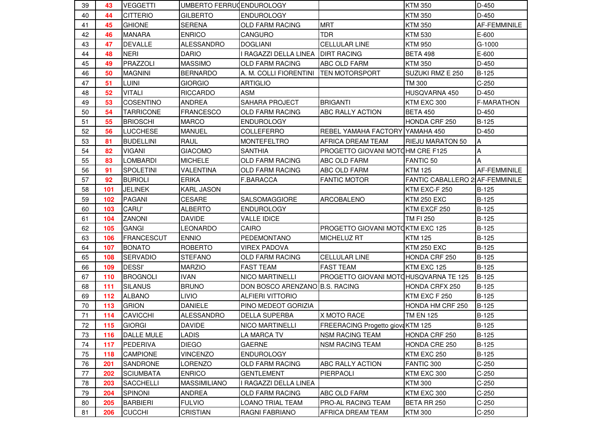| 39 | 43  | <b>IVEGGETTI</b>  | UMBERTO FERRUCENDUROLOGY |                                |                                       | <b>KTM 350</b>                         | D-450             |
|----|-----|-------------------|--------------------------|--------------------------------|---------------------------------------|----------------------------------------|-------------------|
| 40 | 44  | <b>CITTERIO</b>   | <b>GILBERTO</b>          | <b>ENDUROLOGY</b>              |                                       | <b>KTM 350</b>                         | $D-450$           |
| 41 | 45  | <b>GHIONE</b>     | <b>SERENA</b>            | <b>OLD FARM RACING</b>         | <b>MRT</b>                            | <b>KTM 350</b>                         | AF-FEMMINILE      |
| 42 | 46  | <b>MANARA</b>     | <b>ENRICO</b>            | <b>CANGURO</b>                 | <b>TDR</b>                            | <b>KTM 530</b>                         | E-600             |
| 43 | 47  | <b>DEVALLE</b>    | <b>ALESSANDRO</b>        | <b>DOGLIANI</b>                | <b>CELLULAR LINE</b>                  | <b>KTM 950</b>                         | $G-1000$          |
| 44 | 48  | <b>NERI</b>       | <b>DARIO</b>             | I RAGAZZI DELLA LINEA          | <b>DIRT RACING</b>                    | <b>BETA 498</b>                        | E-600             |
| 45 | 49  | PRAZZOLI          | <b>MASSIMO</b>           | OLD FARM RACING                | ABC OLD FARM                          | <b>KTM 350</b>                         | D-450             |
| 46 | 50  | <b>MAGNINI</b>    | <b>BERNARDO</b>          | A. M. COLLI FIORENTINI         | <b>TEN MOTORSPORT</b>                 | SUZUKI RMZ E 250                       | $B-125$           |
| 47 | 51  | <b>LUINI</b>      | <b>GIORGIO</b>           | <b>ARTIGLIO</b>                |                                       | TM 300                                 | $C-250$           |
| 48 | 52  | <b>VITALI</b>     | <b>RICCARDO</b>          | <b>ASM</b>                     |                                       | HUSQVARNA 450                          | D-450             |
| 49 | 53  | <b>COSENTINO</b>  | ANDREA                   | <b>SAHARA PROJECT</b>          | <b>BRIGANTI</b>                       | KTM EXC 300                            | <b>F-MARATHON</b> |
| 50 | 54  | <b>TARRICONE</b>  | <b>FRANCESCO</b>         | <b>OLD FARM RACING</b>         | <b>ABC RALLY ACTION</b>               | <b>BETA 450</b>                        | D-450             |
| 51 | 55  | <b>BRIOSCHI</b>   | <b>MARCO</b>             | <b>ENDUROLOGY</b>              |                                       | HONDA CRF 250                          | $B-125$           |
| 52 | 56  | <b>LUCCHESE</b>   | <b>MANUEL</b>            | COLLEFERRO                     | REBEL YAMAHA FACTORY YAMAHA 450       |                                        | D-450             |
| 53 | 81  | <b>BUDELLINI</b>  | RAUL                     | <b>MONTEFELTRO</b>             | AFRICA DREAM TEAM                     | <b>RIEJU MARATON 50</b>                | A                 |
| 54 | 82  | <b>VIGANI</b>     | <b>GIACOMO</b>           | <b>SANTHIA</b>                 | PROGETTO GIOVANI MOTOHM CRE F125      |                                        | Α                 |
| 55 | 83  | <b>LOMBARDI</b>   | <b>MICHELE</b>           | <b>OLD FARM RACING</b>         | ABC OLD FARM                          | <b>FANTIC 50</b>                       | A                 |
| 56 | 91  | <b>SPOLETINI</b>  | VALENTINA                | <b>OLD FARM RACING</b>         | ABC OLD FARM                          | <b>KTM 125</b>                         | AF-FEMMINILE      |
| 57 | 92  | <b>BURIOLI</b>    | <b>ERIKA</b>             | <b>F.BARACCA</b>               | <b>FANTIC MOTOR</b>                   | <b>FANTIC CABALLERO 2 AF-FEMMINILE</b> |                   |
| 58 | 101 | <b>JELINEK</b>    | <b>KARL JASON</b>        |                                |                                       | KTM EXC-F 250                          | <b>B-125</b>      |
| 59 | 102 | PAGANI            | <b>CESARE</b>            | <b>SALSOMAGGIORE</b>           | <b>ARCOBALENO</b>                     | <b>KTM 250 EXC</b>                     | B-125             |
| 60 | 103 | CARU'             | <b>ALBERTO</b>           | <b>ENDUROLOGY</b>              |                                       | KTM EXCF 250                           | $B-125$           |
| 61 | 104 | <b>ZANONI</b>     | <b>DAVIDE</b>            | <b>VALLE IDICE</b>             |                                       | TM FI 250                              | $B-125$           |
| 62 | 105 | <b>GANGI</b>      | LEONARDO                 | <b>CAIRO</b>                   | PROGETTO GIOVANI MOTOKTM EXC 125      |                                        | $B-125$           |
| 63 | 106 | <b>FRANCESCUT</b> | <b>ENNIO</b>             | PEDEMONTANO                    | <b>MICHELUZ RT</b>                    | <b>KTM 125</b>                         | $B-125$           |
| 64 | 107 | <b>BONATO</b>     | <b>ROBERTO</b>           | <b>VIREX PADOVA</b>            |                                       | <b>KTM 250 EXC</b>                     | $B-125$           |
| 65 | 108 | <b>SERVADIO</b>   | <b>STEFANO</b>           | <b>OLD FARM RACING</b>         | <b>CELLULAR LINE</b>                  | HONDA CRF 250                          | $B-125$           |
| 66 | 109 | <b>DESSI'</b>     | <b>MARZIO</b>            | <b>FAST TEAM</b>               | <b>FAST TEAM</b>                      | KTM EXC 125                            | <b>B-125</b>      |
| 67 | 110 | <b>BROGNOLI</b>   | <b>IVAN</b>              | <b>NICO MARTINELLI</b>         | PROGETTO GIOVANI MOTOHUSQVARNA TE 125 |                                        | <b>B-125</b>      |
| 68 | 111 | <b>SILANUS</b>    | <b>BRUNO</b>             | DON BOSCO ARENZANO B.S. RACING |                                       | HONDA CRFX 250                         | $B-125$           |
| 69 | 112 | <b>ALBANO</b>     | <b>LIVIO</b>             | <b>ALFIERI VITTORIO</b>        |                                       | KTM EXC F 250                          | B-125             |
| 70 | 113 | <b>GRION</b>      | <b>DANIELE</b>           | PINO MEDEOT GORIZIA            |                                       | HONDA HM CRF 250                       | B-125             |
| 71 | 114 | <b>CAVICCHI</b>   | <b>ALESSANDRO</b>        | <b>DELLA SUPERBA</b>           | <b>X MOTO RACE</b>                    | <b>TM EN 125</b>                       | B-125             |
| 72 | 115 | <b>GIORGI</b>     | <b>DAVIDE</b>            | <b>NICO MARTINELLI</b>         | FREERACING Progetto giova KTM 125     |                                        | B-125             |
| 73 | 116 | DALLE MULE        | <b>LADIS</b>             | LA MARCA TV                    | <b>NSM RACING TEAM</b>                | HONDA CRF 250                          | B-125             |
| 74 | 117 | <b>PEDERIVA</b>   | <b>DIEGO</b>             | <b>GAERNE</b>                  | INSM RACING TEAM                      | HONDA CRE 250                          | B-125             |
| 75 | 118 | <b>CAMPIONE</b>   | VINCENZO                 | <b>ENDUROLOGY</b>              |                                       | KTM EXC 250                            | B-125             |
| 76 | 201 | <b>SANDRONE</b>   | LORENZO                  | OLD FARM RACING                | ABC RALLY ACTION                      | FANTIC 300                             | $C-250$           |
| 77 | 202 | <b>SCIUMBATA</b>  | <b>ENRICO</b>            | <b>GENTLEMENT</b>              | PIERPAOLI                             | KTM EXC 300                            | $C-250$           |
| 78 | 203 | <b>SACCHELLI</b>  | <b>MASSIMILIANO</b>      | I RAGAZZI DELLA LINEA          |                                       | <b>KTM 300</b>                         | $C-250$           |
| 79 | 204 | <b>SPINONI</b>    | ANDREA                   | OLD FARM RACING                | ABC OLD FARM                          | KTM EXC 300                            | $C-250$           |
| 80 | 205 | <b>BARBIERI</b>   | <b>FULVIO</b>            | <b>LOANO TRIAL TEAM</b>        | PRO-AL RACING TEAM                    | BETA RR 250                            | $C-250$           |
| 81 | 206 | <b>CUCCHI</b>     | CRISTIAN                 | RAGNI FABRIANO                 | AFRICA DREAM TEAM                     | <b>KTM 300</b>                         | $C-250$           |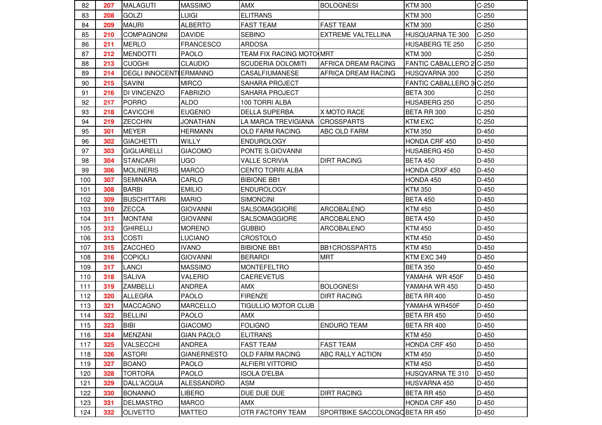| 82  | 207 | <b>MALAGUTI</b>                | <b>MASSIMO</b>     | <b>AMX</b>                 | <b>BOLOGNESI</b>                 | <b>KTM 300</b>           | $C-250$ |
|-----|-----|--------------------------------|--------------------|----------------------------|----------------------------------|--------------------------|---------|
| 83  | 208 | <b>GOLZI</b>                   | <b>LUIGI</b>       | <b>ELITRANS</b>            |                                  | <b>KTM 300</b>           | $C-250$ |
| 84  | 209 | <b>MAURI</b>                   | <b>ALBERTO</b>     | <b>FAST TEAM</b>           | <b>FAST TEAM</b>                 | <b>KTM 300</b>           | $C-250$ |
| 85  | 210 | <b>COMPAGNONI</b>              | <b>DAVIDE</b>      | <b>SEBINO</b>              | <b>EXTREME VALTELLINA</b>        | HUSQUARNA TE 300         | $C-250$ |
| 86  | 211 | <b>MERLO</b>                   | <b>FRANCESCO</b>   | <b>ARDOSA</b>              |                                  | HUSABERG TE 250          | $C-250$ |
| 87  | 212 | <b>MENDOTTI</b>                | PAOLO              | TEAM FIX RACING MOTO MRT   |                                  | <b>KTM 300</b>           | $C-250$ |
| 88  | 213 | <b>CUOGHI</b>                  | <b>CLAUDIO</b>     | <b>SCUDERIA DOLOMITI</b>   | AFRICA DREAM RACING              | FANTIC CABALLERO 2 C-250 |         |
| 89  | 214 | <b>DEGLI INNOCENTI ERMANNO</b> |                    | CASALFIUMANESE             | AFRICA DREAM RACING              | HUSQVARNA 300            | $C-250$ |
| 90  | 215 | <b>SAVINI</b>                  | <b>MIRCO</b>       | SAHARA PROJECT             |                                  | FANTIC CABALLERO 3 C-250 |         |
| 91  | 216 | DI VINCENZO                    | <b>FABRIZIO</b>    | <b>SAHARA PROJECT</b>      |                                  | <b>BETA 300</b>          | $C-250$ |
| 92  | 217 | <b>PORRO</b>                   | <b>ALDO</b>        | 100 TORRI ALBA             |                                  | HUSABERG 250             | $C-250$ |
| 93  | 218 | <b>CAVICCHI</b>                | <b>EUGENIO</b>     | <b>DELLA SUPERBA</b>       | X MOTO RACE                      | BETA RR 300              | $C-250$ |
| 94  | 219 | <b>ZECCHIN</b>                 | JONATHAN           | LA MARCA TREVIGIANA        | <b>CROSSPARTS</b>                | <b>KTM EXC</b>           | $C-250$ |
| 95  | 301 | <b>MEYER</b>                   | <b>HERMANN</b>     | <b>OLD FARM RACING</b>     | ABC OLD FARM                     | KTM 350                  | $D-450$ |
| 96  | 302 | <b>GIACHETTI</b>               | WILLY              | <b>ENDUROLOGY</b>          |                                  | HONDA CRF 450            | D-450   |
| 97  | 303 | <b>GIGLIARELLI</b>             | <b>GIACOMO</b>     | PONTE S.GIOVANNI           |                                  | HUSABERG 450             | D-450   |
| 98  | 304 | <b>STANCARI</b>                | <b>UGO</b>         | <b>VALLE SCRIVIA</b>       | <b>DIRT RACING</b>               | <b>BETA 450</b>          | D-450   |
| 99  | 306 | <b>MOLINERIS</b>               | <b>MARCO</b>       | <b>CENTO TORRI ALBA</b>    |                                  | <b>HONDA CRXF 450</b>    | D-450   |
| 100 | 307 | <b>SEMINARA</b>                | CARLO              | <b>BIBIONE BB1</b>         |                                  | HONDA 450                | $D-450$ |
| 101 | 308 | <b>BARBI</b>                   | <b>EMILIO</b>      | <b>ENDUROLOGY</b>          |                                  | <b>KTM 350</b>           | D-450   |
| 102 | 309 | <b>BUSCHITTARI</b>             | <b>MARIO</b>       | <b>SIMONCINI</b>           |                                  | <b>BETA 450</b>          | D-450   |
| 103 | 310 | <b>ZECCA</b>                   | <b>GIOVANNI</b>    | SALSOMAGGIORE              | ARCOBALENO                       | <b>KTM 450</b>           | D-450   |
| 104 | 311 | <b>MONTANI</b>                 | <b>GIOVANNI</b>    | SALSOMAGGIORE              | ARCOBALENO                       | <b>BETA 450</b>          | D-450   |
| 105 | 312 | <b>GHIRELLI</b>                | <b>MORENO</b>      | <b>GUBBIO</b>              | ARCOBALENO                       | <b>KTM 450</b>           | D-450   |
| 106 | 313 | <b>COSTI</b>                   | <b>LUCIANO</b>     | <b>CROSTOLO</b>            |                                  | <b>KTM 450</b>           | D-450   |
| 107 | 315 | <b>ZACCHEO</b>                 | <b>IVANO</b>       | <b>BIBIONE BB1</b>         | <b>BB1CROSSPARTS</b>             | <b>KTM 450</b>           | D-450   |
| 108 | 316 | <b>COPIOLI</b>                 | <b>GIOVANNI</b>    | <b>BERARDI</b>             | <b>MRT</b>                       | KTM EXC 349              | $D-450$ |
| 109 | 317 | <b>LANCI</b>                   | <b>MASSIMO</b>     | <b>MONTEFELTRO</b>         |                                  | <b>BETA 350</b>          | D-450   |
| 110 | 318 | <b>SALIVA</b>                  | <b>VALERIO</b>     | <b>CAEREVETUS</b>          |                                  | YAMAHA WR 450F           | D-450   |
| 111 | 319 | <b>ZAMBELLI</b>                | <b>ANDREA</b>      | AMX                        | <b>BOLOGNESI</b>                 | YAMAHA WR 450            | $D-450$ |
| 112 | 320 | <b>ALLEGRA</b>                 | <b>PAOLO</b>       | <b>FIRENZE</b>             | <b>DIRT RACING</b>               | BETA RR 400              | $D-450$ |
| 113 | 321 | <b>MACCAGNO</b>                | <b>MARCELLO</b>    | <b>TIGULLIO MOTOR CLUB</b> |                                  | YAMAHA WR450F            | D-450   |
| 114 | 322 | <b>BELLINI</b>                 | PAOLO              | <b>AMX</b>                 |                                  | BETA RR 450              | D-450   |
| 115 | 323 | <b>BIBI</b>                    | <b>GIACOMO</b>     | <b>FOLIGNO</b>             | <b>ENDURO TEAM</b>               | BETA RR 400              | $D-450$ |
| 116 | 324 | <b>MENZANI</b>                 | <b>GIAN PAOLO</b>  | <b>ELITRANS</b>            |                                  | <b>KTM 450</b>           | $D-450$ |
| 117 | 325 | <b>VALSECCHI</b>               | <b>ANDREA</b>      | <b>FAST TEAM</b>           | <b>FAST TEAM</b>                 | HONDA CRF 450            | D-450   |
| 118 | 326 | <b>ASTORI</b>                  | <b>GIANERNESTO</b> | OLD FARM RACING            | ABC RALLY ACTION                 | <b>KTM 450</b>           | D-450   |
| 119 | 327 | <b>BOANO</b>                   | <b>PAOLO</b>       | <b>ALFIERI VITTORIO</b>    |                                  | <b>KTM 450</b>           | D-450   |
| 120 | 328 | <b>TORTORA</b>                 | <b>PAOLO</b>       | <b>ISOLA D'ELBA</b>        |                                  | HUSQVARNA TE 310         | D-450   |
| 121 | 329 | DALL'ACQUA                     | <b>ALESSANDRO</b>  | ASM                        |                                  | HUSVARNA 450             | D-450   |
| 122 | 330 | <b>BONANNO</b>                 | LIBERO             | DUE DUE DUE                | <b>DIRT RACING</b>               | BETA RR 450              | D-450   |
| 123 | 331 | <b>DELMASTRO</b>               | <b>MARCO</b>       | <b>AMX</b>                 |                                  | HONDA CRF 450            | D-450   |
| 124 | 332 | <b>OLIVETTO</b>                | <b>MATTEO</b>      | OTR FACTORY TEAM           | SPORTBIKE SACCOLONGO BETA RR 450 |                          | D-450   |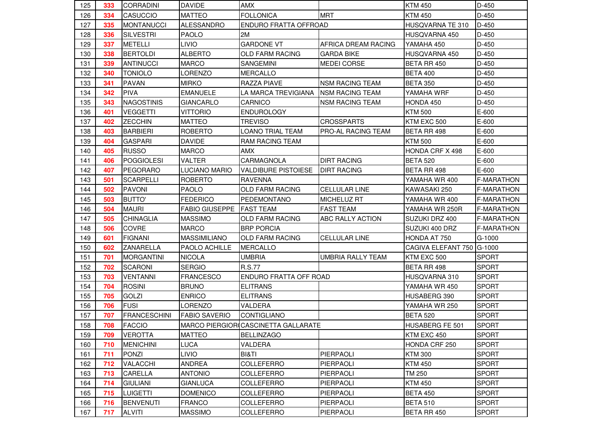| 125 | 333 | <b>CORRADINI</b>    | <b>DAVIDE</b>         | <b>AMX</b>                          |                        | <b>KTM 450</b>          | $D-450$           |
|-----|-----|---------------------|-----------------------|-------------------------------------|------------------------|-------------------------|-------------------|
| 126 | 334 | <b>CASUCCIO</b>     | <b>MATTEO</b>         | <b>FOLLONICA</b>                    | <b>MRT</b>             | <b>KTM 450</b>          | $D-450$           |
| 127 | 335 | <b>MONTANUCCI</b>   | <b>ALESSANDRO</b>     | ENDURO FRATTA OFFROAD               |                        | <b>HUSQVARNA TE 310</b> | D-450             |
| 128 | 336 | SILVESTRI           | PAOLO                 | 2M                                  |                        | HUSQVARNA 450           | D-450             |
| 129 | 337 | <b>METELLI</b>      | <b>LIVIO</b>          | <b>GARDONE VT</b>                   | AFRICA DREAM RACING    | YAMAHA 450              | $D-450$           |
| 130 | 338 | <b>BERTOLDI</b>     | <b>ALBERTO</b>        | <b>OLD FARM RACING</b>              | <b>GARDA BIKE</b>      | HUSQVARNA 450           | $D-450$           |
| 131 | 339 | <b>ANTINUCCI</b>    | <b>MARCO</b>          | <b>SANGEMINI</b>                    | <b>MEDEI CORSE</b>     | BETA RR 450             | D-450             |
| 132 | 340 | <b>TONIOLO</b>      | LORENZO               | <b>MERCALLO</b>                     |                        | <b>BETA 400</b>         | D-450             |
| 133 | 341 | <b>PAVAN</b>        | <b>MIRKO</b>          | RAZZA PIAVE                         | <b>NSM RACING TEAM</b> | <b>BETA 350</b>         | D-450             |
| 134 | 342 | <b>PIVA</b>         | <b>EMANUELE</b>       | LA MARCA TREVIGIANA                 | <b>NSM RACING TEAM</b> | YAMAHA WRF              | D-450             |
| 135 | 343 | <b>NAGOSTINIS</b>   | <b>GIANCARLO</b>      | CARNICO                             | <b>NSM RACING TEAM</b> | HONDA 450               | D-450             |
| 136 | 401 | <b>VEGGETTI</b>     | VITTORIO              | <b>ENDUROLOGY</b>                   |                        | <b>KTM 500</b>          | E-600             |
| 137 | 402 | <b>ZECCHIN</b>      | <b>MATTEO</b>         | TREVISO                             | <b>CROSSPARTS</b>      | KTM EXC 500             | E-600             |
| 138 | 403 | <b>BARBIERI</b>     | <b>ROBERTO</b>        | LOANO TRIAL TEAM                    | PRO-AL RACING TEAM     | BETA RR 498             | E-600             |
| 139 | 404 | <b>GASPARI</b>      | <b>DAVIDE</b>         | RAM RACING TEAM                     |                        | <b>KTM 500</b>          | E-600             |
| 140 | 405 | <b>RUSSO</b>        | <b>MARCO</b>          | AMX                                 |                        | HONDA CRF X 498         | E-600             |
| 141 | 406 | <b>POGGIOLESI</b>   | <b>VALTER</b>         | CARMAGNOLA                          | <b>DIRT RACING</b>     | <b>BETA 520</b>         | E-600             |
| 142 | 407 | <b>PEGORARO</b>     | LUCIANO MARIO         | <b>VALDIBURE PISTOIESE</b>          | <b>DIRT RACING</b>     | BETA RR 498             | E-600             |
| 143 | 501 | <b>SCARPELLI</b>    | <b>ROBERTO</b>        | <b>RAVENNA</b>                      |                        | YAMAHA WR 400           | <b>F-MARATHON</b> |
| 144 | 502 | <b>PAVONI</b>       | <b>PAOLO</b>          | <b>OLD FARM RACING</b>              | <b>CELLULAR LINE</b>   | KAWASAKI 250            | <b>F-MARATHON</b> |
| 145 | 503 | <b>BUTTO'</b>       | <b>FEDERICO</b>       | PEDEMONTANO                         | MICHELUZ RT            | YAMAHA WR 400           | <b>F-MARATHON</b> |
| 146 | 504 | <b>MAURI</b>        | <b>FABIO GIUSEPPE</b> | <b>FAST TEAM</b>                    | <b>FAST TEAM</b>       | YAMAHA WR 250R          | F-MARATHON        |
| 147 | 505 | <b>CHINAGLIA</b>    | <b>MASSIMO</b>        | <b>OLD FARM RACING</b>              | ABC RALLY ACTION       | SUZUKI DRZ 400          | <b>F-MARATHON</b> |
| 148 | 506 | <b>COVRE</b>        | <b>MARCO</b>          | <b>BRP PORCIA</b>                   |                        | SUZUKI 400 DRZ          | <b>F-MARATHON</b> |
| 149 | 601 | <b>FIGNANI</b>      | <b>MASSIMILIANO</b>   | OLD FARM RACING                     | <b>CELLULAR LINE</b>   | HONDA AT 750            | G-1000            |
| 150 | 602 | <b>ZANARELLA</b>    | PAOLO ACHILLE         | <b>MERCALLO</b>                     |                        | CAGIVA ELEFANT 750      | G-1000            |
| 151 | 701 | <b>MORGANTINI</b>   | <b>NICOLA</b>         | <b>UMBRIA</b>                       | UMBRIA RALLY TEAM      | KTM EXC 500             | <b>SPORT</b>      |
| 152 | 702 | <b>SCARONI</b>      | <b>SERGIO</b>         | <b>R.S.77</b>                       |                        | BETA RR 498             | <b>SPORT</b>      |
| 153 | 703 | <b>VENTANNI</b>     | <b>FRANCESCO</b>      | ENDURO FRATTA OFF ROAD              |                        | HUSQVARNA 310           | <b>SPORT</b>      |
| 154 | 704 | <b>ROSINI</b>       | <b>BRUNO</b>          | <b>ELITRANS</b>                     |                        | YAMAHA WR 450           | <b>SPORT</b>      |
| 155 | 705 | <b>GOLZI</b>        | <b>ENRICO</b>         | <b>ELITRANS</b>                     |                        | HUSABERG 390            | <b>SPORT</b>      |
| 156 | 706 | <b>FUSI</b>         | <b>LORENZO</b>        | VALDERA                             |                        | YAMAHA WR 250           | <b>SPORT</b>      |
| 157 | 707 | <b>FRANCESCHINI</b> | <b>FABIO SAVERIO</b>  | <b>CONTIGLIANO</b>                  |                        | <b>BETA 520</b>         | <b>SPORT</b>      |
| 158 | 708 | <b>FACCIO</b>       |                       | MARCO PIERGIOR CASCINETTA GALLARATE |                        | HUSABERG FE 501         | <b>SPORT</b>      |
| 159 | 709 | <b>VEROTTA</b>      | <b>MATTEO</b>         | <b>BELLINZAGO</b>                   |                        | KTM EXC 450             | <b>SPORT</b>      |
| 160 | 710 | <b>MENICHINI</b>    | <b>LUCA</b>           | VALDERA                             |                        | HONDA CRF 250           | <b>SPORT</b>      |
| 161 | 711 | <b>PONZI</b>        | <b>LIVIO</b>          | BI&TI                               | PIERPAOLI              | <b>KTM 300</b>          | <b>SPORT</b>      |
| 162 | 712 | VALACCHI            | <b>ANDREA</b>         | COLLEFERRO                          | PIERPAOLI              | <b>KTM 450</b>          | <b>SPORT</b>      |
| 163 | 713 | CARELLA             | <b>ANTONIO</b>        | COLLEFERRO                          | PIERPAOLI              | TM 250                  | <b>SPORT</b>      |
| 164 | 714 | <b>GIULIANI</b>     | <b>GIANLUCA</b>       | COLLEFERRO                          | PIERPAOLI              | <b>KTM 450</b>          | <b>SPORT</b>      |
| 165 | 715 | <b>LUIGETTI</b>     | <b>DOMENICO</b>       | COLLEFERRO                          | PIERPAOLI              | <b>BETA 450</b>         | <b>SPORT</b>      |
| 166 | 716 | <b>BENVENUTI</b>    | <b>FRANCO</b>         | COLLEFERRO                          | PIERPAOLI              | <b>BETA 510</b>         | <b>SPORT</b>      |
| 167 | 717 | <b>ALVITI</b>       | <b>MASSIMO</b>        | COLLEFERRO                          | PIERPAOLI              | BETA RR 450             | <b>SPORT</b>      |